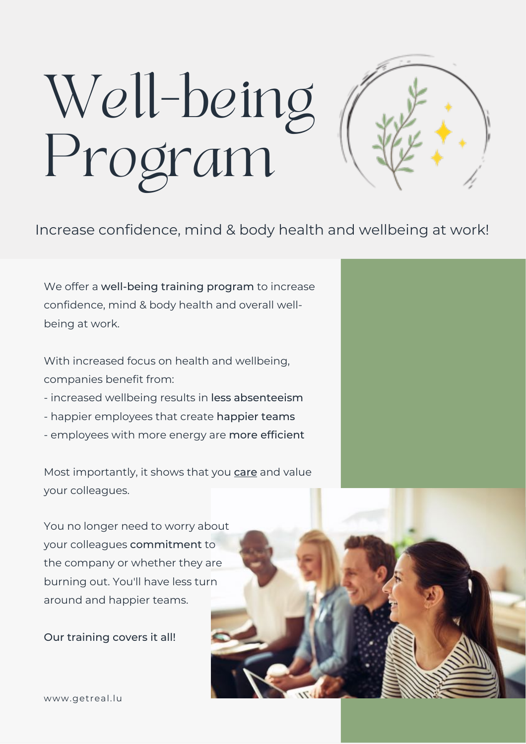# Well-being Program

#### Increase confidence, mind & body health and wellbeing at work!

We offer a well-being training program to increase confidence, mind & body health and overall wellbeing at work.

With increased focus on health and wellbeing, companies benefit from:

- increased wellbeing results in less absenteeism
- happier employees that create happier teams
- employees with more energy are more efficient

Most importantly, it shows that you care and value your colleagues.

You no longer need to worry about your colleagues commitment to the company or whether they are burning out. You'll have less turn around and happier teams.

Our training covers it all!



www.getreal.lu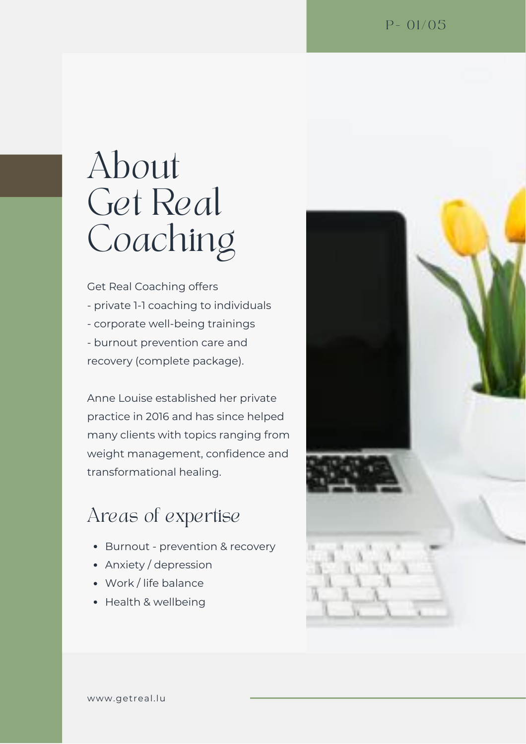### About Get Real Coaching

Get Real Coaching offers - private 1-1 coaching to individuals - corporate well-being trainings - burnout prevention care and recovery (complete package).

Anne Louise established her private practice in 2016 and has since helped many clients with topics ranging from weight management, confidence and transformational healing.

#### Areas of expertise

- Burnout prevention & recovery
- Anxiety / depression
- Work / life balance
- Health & wellbeing

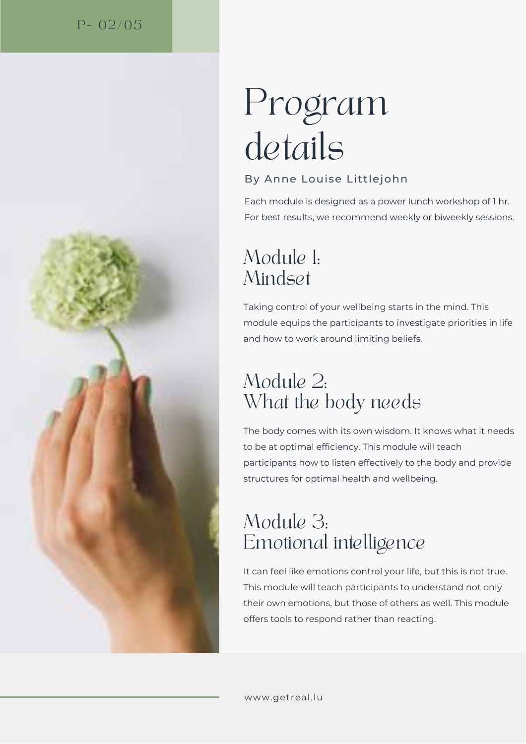#### $P - 02/05$



# Program details

#### By Anne Louise Littlejohn

Each module is designed as a power lunch workshop of 1 hr. For best results, we recommend weekly or biweekly sessions.

### Module 1: Mindset

Taking control of your wellbeing starts in the mind. This module equips the participants to investigate priorities in life and how to work around limiting beliefs.

### Module 2: What the body needs

The body comes with its own wisdom. It knows what it needs to be at optimal efficiency. This module will teach participants how to listen effectively to the body and provide structures for optimal health and wellbeing.

### Module 3: Emotional intelligence

It can feel like emotions control your life, but this is not true. This module will teach participants to understand not only their own emotions, but those of others as well. This module offers tools to respond rather than reacting.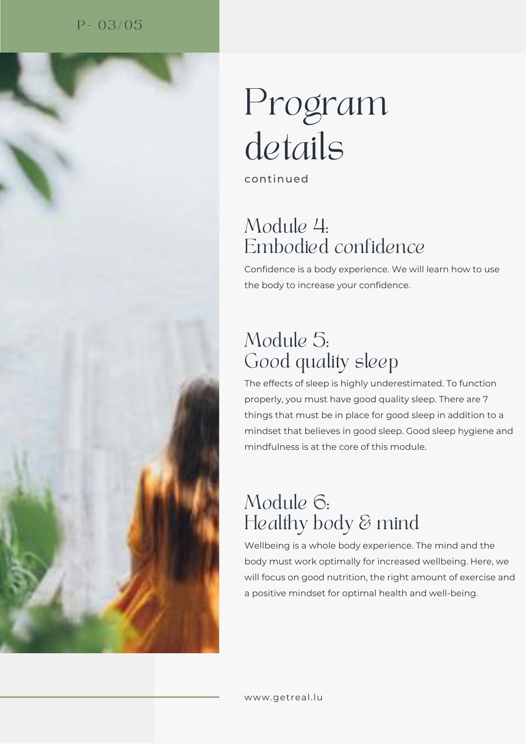#### $P - 03/05$



# Program details

continued

#### Module 4: Embodied confidence

Confidence is a body experience. We will learn how to use the body to increase your confidence.

### Module 5: Good quality sleep

The effects of sleep is highly underestimated. To function properly, you must have good quality sleep. There are 7 things that must be in place for good sleep in addition to a mindset that believes in good sleep. Good sleep hygiene and mindfulness is at the core of this module.

### Module 6: Healthy body & mind

Wellbeing is a whole body experience. The mind and the body must work optimally for increased wellbeing. Here, we will focus on good nutrition, the right amount of exercise and a positive mindset for optimal health and well-being.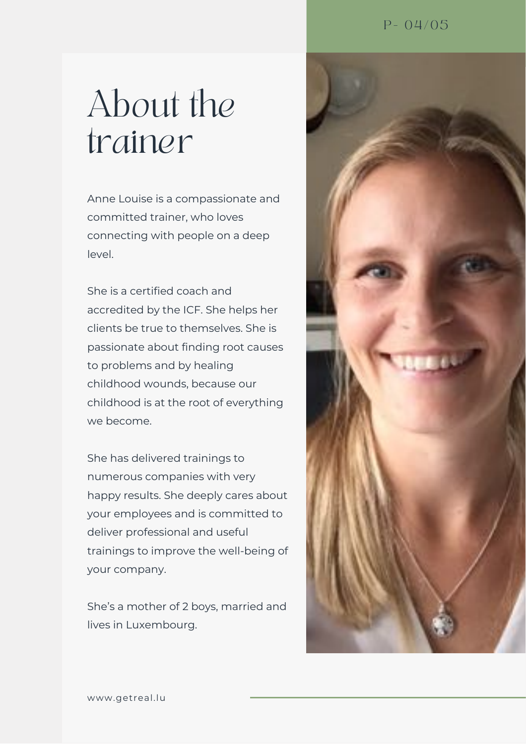### About the trainer

Anne Louise is a compassionate and committed trainer, who loves connecting with people on a deep level.

She is a certified coach and accredited by the ICF. She helps her clients be true to themselves. She is passionate about finding root causes to problems and by healing childhood wounds, because our childhood is at the root of everything we become.

She has delivered trainings to numerous companies with very happy results. She deeply cares about your employees and is committed to deliver professional and useful trainings to improve the well-being of your company.

She's a mother of 2 boys, married and lives in Luxembourg.